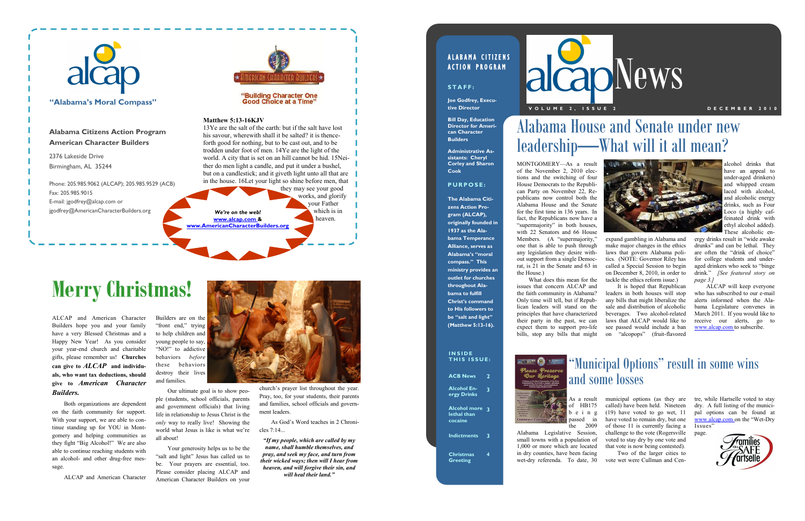

and families.

Our ultimate goal is to show people (students, school officials, parents and government officials) that living life in relationship to Jesus Christ is the *only* way to really live! Showing the world what Jesus is like is what we're all about!

Your generosity helps us to be the "salt and light" Jesus has called us to be. Your prayers are essential, too. Please consider placing ALCAP and American Character Builders on your

ALCAP and American Character Builders hope you and your family have a very Blessed Christmas and a Happy New Year! As you consider your year-end church and charitable gifts, please remember us! **Churches can give to** *ALCAP* **and individuals, who want tax deductions, should give to** *American Character Builders.*

Both organizations are dependent on the faith community for support. With your support, we are able to continue standing up for YOU in Montgomery and helping communities as they fight "Big Alcohol!" We are also able to continue reaching students with an alcohol- and other drug-free message.

ALCAP and American Character

church's prayer list throughout the year. Pray, too, for your students, their parents and families, school officials and government leaders.

As God's Word teaches in 2 Chronicles 7:14...

*"If my people, which are called by my name, shall humble themselves, and pray, and seek my face, and turn from their wicked ways; then will I hear from heaven, and will forgive their sin, and will heal their land."*

### ALABAMA CITIZENS **ACTION PROGRAM**

# **Merry Christmas!**



alcohol drinks that have an appeal to under-aged drinkers) and whipped cream laced with alcohol. and alcoholic energy drinks, such as Four Loco (a highly caffeinated drink with ethyl alcohol added). These alcoholic en-

**alcapNews V O L U M E 2 , I S S U E 2 D E C E M B E R 2 0 1 0**

ergy drinks result in "wide awake drunks" and can be lethal. They are often the "drink of choice" for college students and underaged drinkers who seek to "binge drink." *[See featured story on page 3.]*

ALCAP will keep everyone who has subscribed to our e-mail alerts informed when the Alabama Legislature convenes in March 2011. If you would like to receive our alerts, go to www.alcap.com to subscribe.

MONTGOMERY—As a result of the November 2, 2010 elections and the switching of four House Democrats to the Republican Party on November 22, Republicans now control both the Alabama House and the Senate for the first time in 136 years. In fact, the Republicans now have a "supermajority" in both houses, with 22 Senators and 66 House Members. (A "supermajority," one that is able to push through any legislation they desire without support from a single Democrat, is 21 in the Senate and 63 in the House.)

What does this mean for the issues that concern ALCAP and the faith community in Alabama? Only time will tell, but if Republican leaders will stand on the principles that have characterized their party in the past, we can expect them to support pro-life bills, stop any bills that might



expand gambling in Alabama and make major changes in the ethics laws that govern Alabama politics. (NOTE: Governor Riley has called a Special Session to begin on December 8, 2010, in order to tackle the ethics reform issue.)

It is hoped that Republican leaders in both houses will stop any bills that might liberalize the sale and distribution of alcoholic beverages. Two alcohol-related laws that ALCAP would like to see passed would include a ban on "alcopops" (fruit-flavored

As a result of HB175 b e i n g passed in the 2009 Alabama Legislative Session, small towns with a population of 1,000 or more which are located in dry counties, have been facing wet-dry referenda. To date, 30 municipal options (as they are called) have been held. Nineteen (19) have voted to go wet, 11 have voted to remain dry, but one of those 11 is currently facing a challenge to the vote (Rogersville voted to stay dry by one vote and that vote is now being contested). Two of the larger cities to vote wet were Cullman and Cen-

tre, while Hartselle voted to stay dry. A full listing of the municipal options can be found at www.alcap.com on the "Wet-Dry Issues" page.



## Alabama House and Senate under new leadership—What will it all mean?



### **I N S I D E THIS ISSUE: ACB News 2**

**Alcohol Energy Drinks 3**

**Alcohol more 3 lethal than cocaine**

**Indictments 3**

**Christmas Greeting**

**4**



## "Municipal Options" result in some wins and some losses

#### **S T A F F :**

**Joe Godfrey, Executive Director**

**Bill Day, Education Director for American Character Builders**

> **Administrative Assistants: Cheryl Corley and Sharon Cook**

#### **P U R P O S E :**

**The Alabama Citizens Action Program (ALCAP), originally founded in 1937 as the Alabama Temperance Alliance, serves as Alabama's "moral compass." This ministry provides an outlet for churches throughout Alabama to fulfill Christ's command to His followers to be "salt and light" (Matthew 5:13-16).**